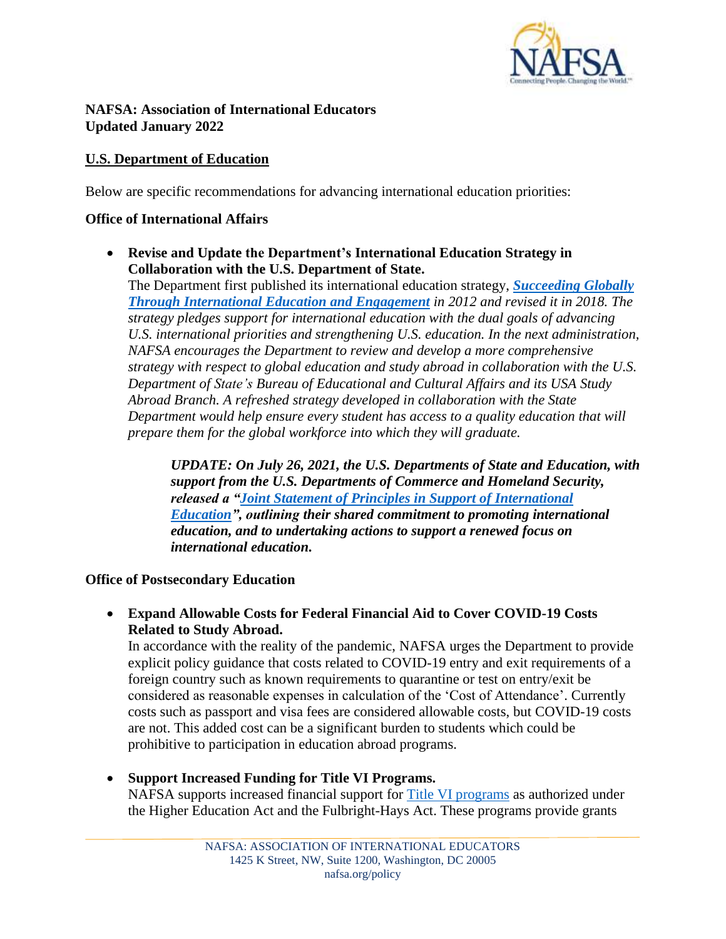

#### **NAFSA: Association of International Educators Updated January 2022**

## **U.S. Department of Education**

Below are specific recommendations for advancing international education priorities:

### **Office of International Affairs**

• **Revise and Update the Department's International Education Strategy in Collaboration with the U.S. Department of State.**

The Department first published its international education strategy, *[Succeeding](https://sites.ed.gov/international/international-strategy-2/) Globally Through [International](https://sites.ed.gov/international/international-strategy-2/) Education and Engagement in 2012 and revised it in 2018. The strategy pledges support for international education with the dual goals of advancing U.S. international priorities and strengthening U.S. education. In the next administration, NAFSA encourages the Department to review and develop a more comprehensive strategy with respect to global education and study abroad in collaboration with the U.S. Department of State's Bureau of Educational and Cultural Affairs and its USA Study Abroad Branch. A refreshed strategy developed in collaboration with the State Department would help ensure every student has access to a quality education that will prepare them for the global workforce into which they will graduate.*

*UPDATE: On July 26, 2021, the U.S. Departments of State and Education, with support from the U.S. Departments of Commerce and Homeland Security, released a ["Joint Statement of Principles in Support of International](https://educationusa.state.gov/us-higher-education-professionals/us-government-resources-and-guidance/joint-statement)  [Education"](https://educationusa.state.gov/us-higher-education-professionals/us-government-resources-and-guidance/joint-statement), outlining their shared commitment to promoting international education, and to undertaking actions to support a renewed focus on international education.*

#### **Office of Postsecondary Education**

• **Expand Allowable Costs for Federal Financial Aid to Cover COVID-19 Costs Related to Study Abroad.**

In accordance with the reality of the pandemic, NAFSA urges the Department to provide explicit policy guidance that costs related to COVID-19 entry and exit requirements of a foreign country such as known requirements to quarantine or test on entry/exit be considered as reasonable expenses in calculation of the 'Cost of Attendance'. Currently costs such as passport and visa fees are considered allowable costs, but COVID-19 costs are not. This added cost can be a significant burden to students which could be prohibitive to participation in education abroad programs.

• **Support Increased Funding for Title VI Programs.** NAFSA supports increased financial support for [Title VI programs](https://www2.ed.gov/about/offices/list/ope/iegps/index.html) as authorized under the Higher Education Act and the Fulbright-Hays Act. These programs provide grants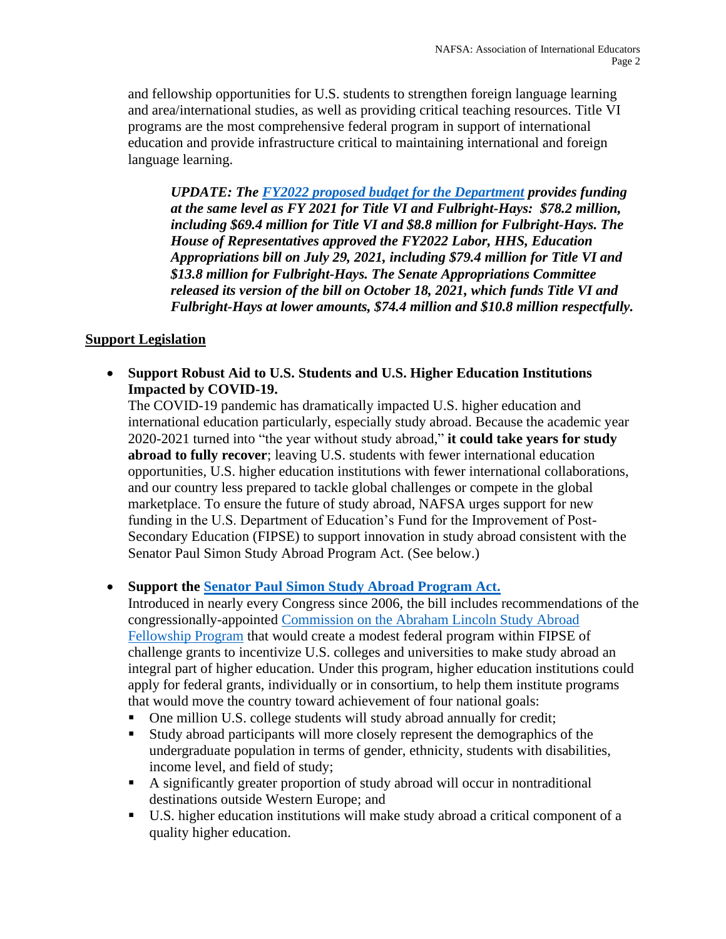and fellowship opportunities for U.S. students to strengthen foreign language learning and area/international studies, as well as providing critical teaching resources. Title VI programs are the most comprehensive federal program in support of international education and provide infrastructure critical to maintaining international and foreign language learning.

*UPDATE: The [FY2022 proposed budget for the Department](https://www2.ed.gov/about/overview/budget/budget22/index.html) provides funding at the same level as FY 2021 for Title VI and Fulbright-Hays: \$78.2 million, including \$69.4 million for Title VI and \$8.8 million for Fulbright-Hays. The House of Representatives approved the FY2022 Labor, HHS, Education Appropriations bill on July 29, 2021, including \$79.4 million for Title VI and \$13.8 million for Fulbright-Hays. The Senate Appropriations Committee released its version of the bill on October 18, 2021, which funds Title VI and Fulbright-Hays at lower amounts, \$74.4 million and \$10.8 million respectfully.*

## **Support Legislation**

• **Support Robust Aid to U.S. Students and U.S. Higher Education Institutions Impacted by COVID-19.**

The COVID-19 pandemic has dramatically impacted U.S. higher education and international education particularly, especially study abroad. Because the academic year 2020-2021 turned into "the year without study abroad," **it could take years for study abroad to fully recover**; leaving U.S. students with fewer international education opportunities, U.S. higher education institutions with fewer international collaborations, and our country less prepared to tackle global challenges or compete in the global marketplace. To ensure the future of study abroad, NAFSA urges support for new funding in the U.S. Department of Education's Fund for the Improvement of Post-Secondary Education (FIPSE) to support innovation in study abroad consistent with the Senator Paul Simon Study Abroad Program Act. (See below.)

# • **Support the [Senator Paul Simon Study Abroad Program Act.](http://www.nafsa.org/simon)**

Introduced in nearly every Congress since 2006, the bill includes recommendations of the congressionally-appointed [Commission on the Abraham Lincoln Study Abroad](https://www.nafsa.org/policy-and-advocacy/policy-resources/report-commission-abraham-lincoln-study-abroad-fellowship-program)  [Fellowship Program](https://www.nafsa.org/policy-and-advocacy/policy-resources/report-commission-abraham-lincoln-study-abroad-fellowship-program) that would create a modest federal program within FIPSE of challenge grants to incentivize U.S. colleges and universities to make study abroad an integral part of higher education. Under this program, higher education institutions could apply for federal grants, individually or in consortium, to help them institute programs that would move the country toward achievement of four national goals:

- One million U.S. college students will study abroad annually for credit;
- Study abroad participants will more closely represent the demographics of the undergraduate population in terms of gender, ethnicity, students with disabilities, income level, and field of study;
- A significantly greater proportion of study abroad will occur in nontraditional destinations outside Western Europe; and
- U.S. higher education institutions will make study abroad a critical component of a quality higher education.